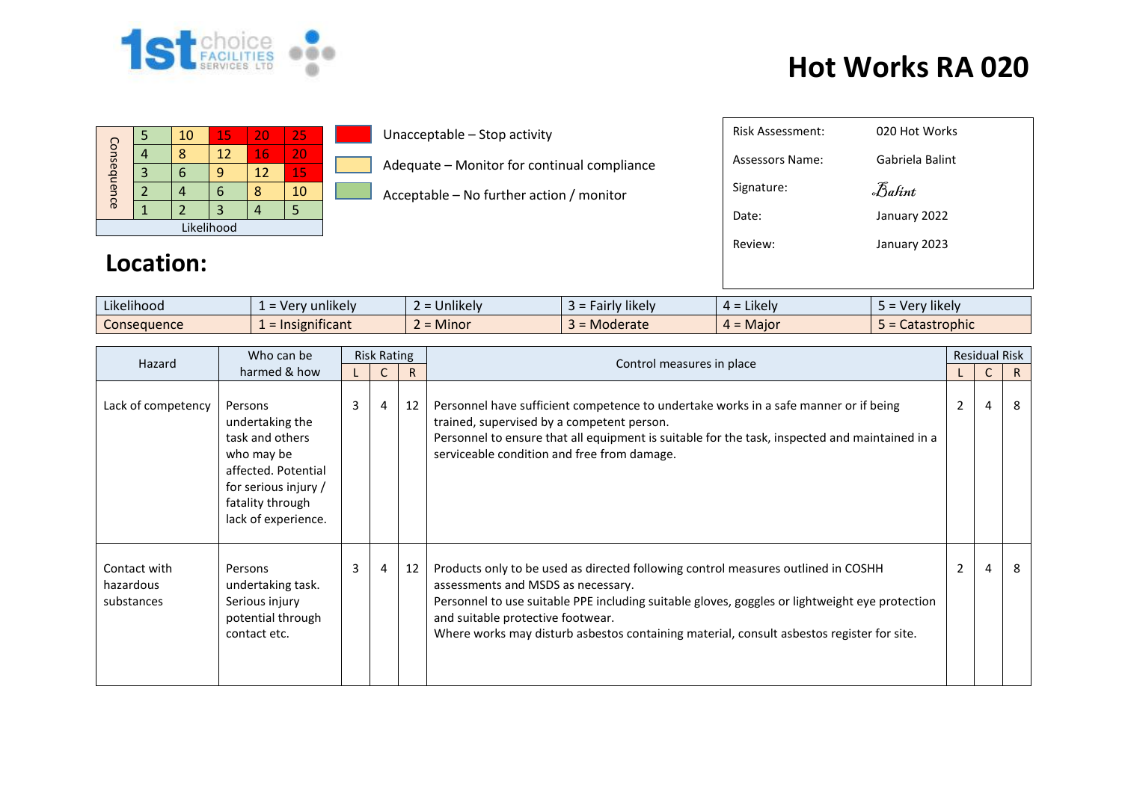

## **Hot Works RA 020**

| Consequence |  | 10 | 15 | 20 | 25 |  |  |
|-------------|--|----|----|----|----|--|--|
|             |  |    | 12 | 16 | 20 |  |  |
|             |  |    |    | 12 | 15 |  |  |
|             |  |    |    |    | 10 |  |  |
|             |  |    |    |    |    |  |  |
| Likelihood  |  |    |    |    |    |  |  |

**Location:** 

Unacceptable – Stop activity

Adequate – Monitor for continual compliance

Acceptable – No further action / monitor

| <b>Risk Assessment:</b> | 020 Hot Works   |
|-------------------------|-----------------|
| Assessors Name:         | Gabriela Balint |
| Signature:              | Balint          |
| Date:                   | January 2022    |
| Review:                 | January 2023    |
|                         |                 |
|                         |                 |

| Likelihood  | unlikely<br>Ver<br>- 61 | <b>Jnlikely</b><br>--             | <b>likely</b><br>airly. | $\cdot$ .<br><b>LIKEIV</b><br>ᅟ <del>ᄼ</del> | $\cdots$<br>rv likely<br>- Verr |
|-------------|-------------------------|-----------------------------------|-------------------------|----------------------------------------------|---------------------------------|
| Consequence | nificant<br>Insign      | Minor<br>$\overline{\phantom{0}}$ | Moderate                | = Maior                                      | Catastrophic                    |

| Who can be<br>Hazard                    |                                                                                                                                                       | <b>Risk Rating</b> |   |    | Control measures in place                                                                                                                                                                                                                                                                                                                                   | <b>Residual Risk</b> |                |    |
|-----------------------------------------|-------------------------------------------------------------------------------------------------------------------------------------------------------|--------------------|---|----|-------------------------------------------------------------------------------------------------------------------------------------------------------------------------------------------------------------------------------------------------------------------------------------------------------------------------------------------------------------|----------------------|----------------|----|
|                                         | harmed & how                                                                                                                                          |                    |   | R. |                                                                                                                                                                                                                                                                                                                                                             |                      |                | R. |
| Lack of competency                      | Persons<br>undertaking the<br>task and others<br>who may be<br>affected. Potential<br>for serious injury /<br>fatality through<br>lack of experience. | 3                  | 4 | 12 | Personnel have sufficient competence to undertake works in a safe manner or if being<br>trained, supervised by a competent person.<br>Personnel to ensure that all equipment is suitable for the task, inspected and maintained in a<br>serviceable condition and free from damage.                                                                         | $\overline{2}$       | $\overline{4}$ | 8  |
| Contact with<br>hazardous<br>substances | Persons<br>undertaking task.<br>Serious injury<br>potential through<br>contact etc.                                                                   | 3                  | 4 | 12 | Products only to be used as directed following control measures outlined in COSHH<br>assessments and MSDS as necessary.<br>Personnel to use suitable PPE including suitable gloves, goggles or lightweight eye protection<br>and suitable protective footwear.<br>Where works may disturb asbestos containing material, consult asbestos register for site. | $\overline{2}$       | $\overline{4}$ | 8  |